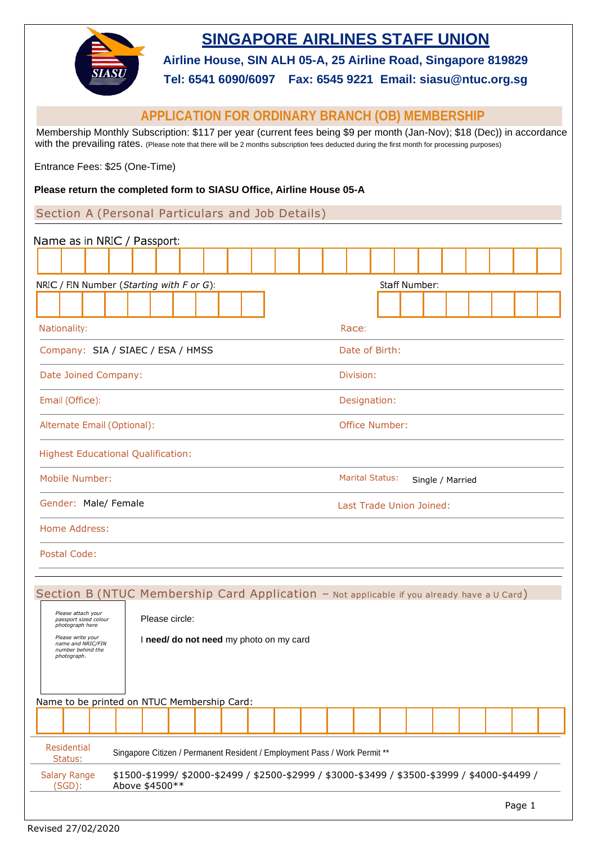

# **SINGAPORE AIRLINES STAFF UNION**

**Airline House, SIN ALH 05-A, 25 Airline Road, Singapore 819829**

**Tel: 6541 6090/6097 Fax: 6545 9221 Email: siasu@ntuc.org.sg**

# **APPLICATION FOR ORDINARY BRANCH (OB) MEMBERSHIP**

 Membership Monthly Subscription: \$117 per year (current fees being \$9 per month (Jan-Nov); \$18 (Dec)) in accordance with the prevailing rates. (Please note that there will be <sup>2</sup> months subscription fees deducted during the first month for processing purposes)

Entrance Fees: \$25 (One-Time)

#### **Please return the completed form to SIASU Office, Airline House 05-A**

Section A (Personal Particulars and Job Details)

| Name as in NRIC / Passport:                                                                                                                         |                                            |
|-----------------------------------------------------------------------------------------------------------------------------------------------------|--------------------------------------------|
|                                                                                                                                                     |                                            |
| NRIC / FIN Number (Starting with F or G):                                                                                                           | Staff Number:                              |
|                                                                                                                                                     |                                            |
| Nationality:                                                                                                                                        | Race:                                      |
| Company: SIA / SIAEC / ESA / HMSS                                                                                                                   | Date of Birth:                             |
| Date Joined Company:                                                                                                                                | Division:                                  |
| Email (Office):                                                                                                                                     | Designation:                               |
| Alternate Email (Optional):                                                                                                                         | <b>Office Number:</b>                      |
| <b>Highest Educational Qualification:</b>                                                                                                           |                                            |
| Mobile Number:                                                                                                                                      | <b>Marital Status:</b><br>Single / Married |
| Gender: Male/ Female                                                                                                                                | Last Trade Union Joined:                   |
| Home Address:                                                                                                                                       |                                            |
| Postal Code:                                                                                                                                        |                                            |
| Section B (NTUC Membership Card Application - Not applicable if you already have a U Card)                                                          |                                            |
| Please attach your<br>Please circle:<br>passport sized colour<br>photograph here                                                                    |                                            |
| Please write your<br>I need/ do not need my photo on my card<br>name and NRIC/FIN<br>number behind the<br>photograph.                               |                                            |
| Name to be printed on NTUC Membership Card:                                                                                                         |                                            |
|                                                                                                                                                     |                                            |
| <b>Residential</b><br>Singapore Citizen / Permanent Resident / Employment Pass / Work Permit **<br>Status:                                          |                                            |
| <b>Salary Range</b><br>\$1500-\$1999/\$2000-\$2499 / \$2500-\$2999 / \$3000-\$3499 / \$3500-\$3999 / \$4000-\$4499 /<br>$(SGD)$ :<br>Above \$4500** |                                            |